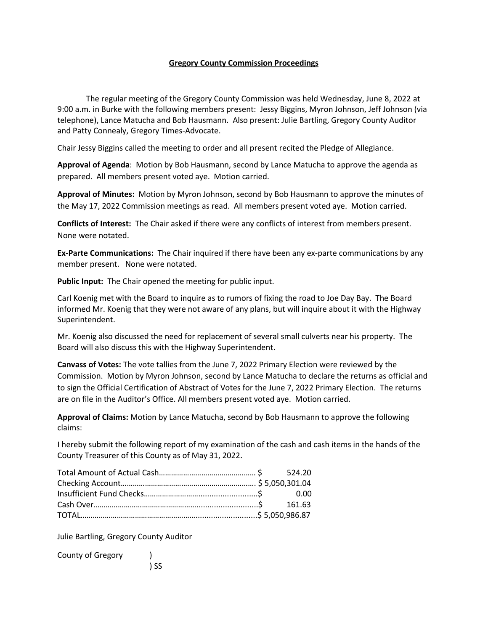## **Gregory County Commission Proceedings**

The regular meeting of the Gregory County Commission was held Wednesday, June 8, 2022 at 9:00 a.m. in Burke with the following members present: Jessy Biggins, Myron Johnson, Jeff Johnson (via telephone), Lance Matucha and Bob Hausmann. Also present: Julie Bartling, Gregory County Auditor and Patty Connealy, Gregory Times-Advocate.

Chair Jessy Biggins called the meeting to order and all present recited the Pledge of Allegiance.

**Approval of Agenda**: Motion by Bob Hausmann, second by Lance Matucha to approve the agenda as prepared. All members present voted aye. Motion carried.

**Approval of Minutes:** Motion by Myron Johnson, second by Bob Hausmann to approve the minutes of the May 17, 2022 Commission meetings as read. All members present voted aye. Motion carried.

**Conflicts of Interest:** The Chair asked if there were any conflicts of interest from members present. None were notated.

**Ex-Parte Communications:** The Chair inquired if there have been any ex-parte communications by any member present. None were notated.

**Public Input:** The Chair opened the meeting for public input.

Carl Koenig met with the Board to inquire as to rumors of fixing the road to Joe Day Bay. The Board informed Mr. Koenig that they were not aware of any plans, but will inquire about it with the Highway Superintendent.

Mr. Koenig also discussed the need for replacement of several small culverts near his property. The Board will also discuss this with the Highway Superintendent.

**Canvass of Votes:** The vote tallies from the June 7, 2022 Primary Election were reviewed by the Commission. Motion by Myron Johnson, second by Lance Matucha to declare the returns as official and to sign the Official Certification of Abstract of Votes for the June 7, 2022 Primary Election. The returns are on file in the Auditor's Office. All members present voted aye. Motion carried.

**Approval of Claims:** Motion by Lance Matucha, second by Bob Hausmann to approve the following claims:

I hereby submit the following report of my examination of the cash and cash items in the hands of the County Treasurer of this County as of May 31, 2022.

Julie Bartling, Gregory County Auditor

County of Gregory ) ) SS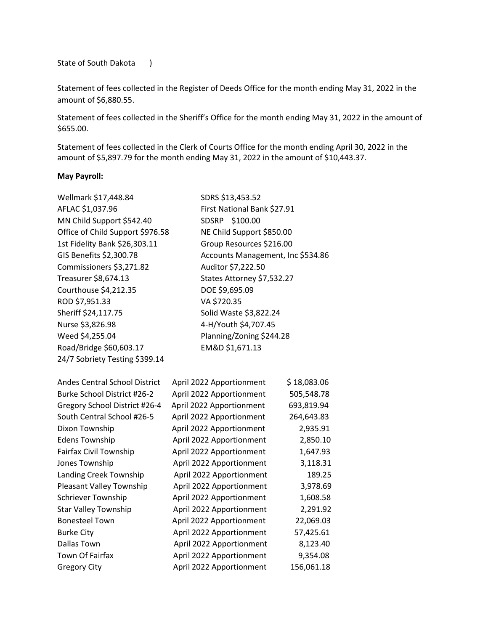State of South Dakota )

Statement of fees collected in the Register of Deeds Office for the month ending May 31, 2022 in the amount of \$6,880.55.

Statement of fees collected in the Sheriff's Office for the month ending May 31, 2022 in the amount of \$655.00.

Statement of fees collected in the Clerk of Courts Office for the month ending April 30, 2022 in the amount of \$5,897.79 for the month ending May 31, 2022 in the amount of \$10,443.37.

## **May Payroll:**

| Wellmark \$17,448.84             | SDRS \$13,453.52                  |
|----------------------------------|-----------------------------------|
| AFLAC \$1,037.96                 | First National Bank \$27.91       |
| MN Child Support \$542.40        | SDSRP \$100.00                    |
| Office of Child Support \$976.58 | NE Child Support \$850.00         |
| 1st Fidelity Bank \$26,303.11    | Group Resources \$216.00          |
| GIS Benefits \$2,300.78          | Accounts Management, Inc \$534.86 |
| Commissioners \$3,271.82         | Auditor \$7,222.50                |
| Treasurer \$8,674.13             | States Attorney \$7,532.27        |
| Courthouse \$4,212.35            | DOE \$9,695.09                    |
| ROD \$7,951.33                   | VA \$720.35                       |
| Sheriff \$24,117.75              | Solid Waste \$3,822.24            |
| Nurse \$3,826.98                 | 4-H/Youth \$4,707.45              |
| Weed \$4,255.04                  | Planning/Zoning \$244.28          |
| Road/Bridge \$60,603.17          | EM&D \$1,671.13                   |
| 24/7 Sobriety Testing \$399.14   |                                   |
|                                  |                                   |

| <b>Andes Central School District</b> | April 2022 Apportionment | \$18,083.06 |
|--------------------------------------|--------------------------|-------------|
| <b>Burke School District #26-2</b>   | April 2022 Apportionment | 505,548.78  |
| Gregory School District #26-4        | April 2022 Apportionment | 693,819.94  |
| South Central School #26-5           | April 2022 Apportionment | 264,643.83  |
| Dixon Township                       | April 2022 Apportionment | 2,935.91    |
| <b>Edens Township</b>                | April 2022 Apportionment | 2,850.10    |
| Fairfax Civil Township               | April 2022 Apportionment | 1,647.93    |
| Jones Township                       | April 2022 Apportionment | 3,118.31    |
| Landing Creek Township               | April 2022 Apportionment | 189.25      |
| Pleasant Valley Township             | April 2022 Apportionment | 3,978.69    |
| <b>Schriever Township</b>            | April 2022 Apportionment | 1,608.58    |
| <b>Star Valley Township</b>          | April 2022 Apportionment | 2,291.92    |
| <b>Bonesteel Town</b>                | April 2022 Apportionment | 22,069.03   |
| <b>Burke City</b>                    | April 2022 Apportionment | 57,425.61   |
| Dallas Town                          | April 2022 Apportionment | 8,123.40    |
| Town Of Fairfax                      | April 2022 Apportionment | 9,354.08    |
| <b>Gregory City</b>                  | April 2022 Apportionment | 156,061.18  |
|                                      |                          |             |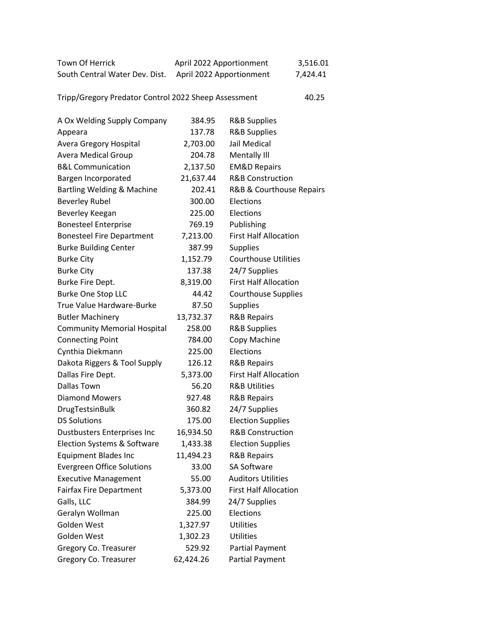| Town Of Herrick                | April 2022 Apportionment | 3,516.01 |
|--------------------------------|--------------------------|----------|
| South Central Water Dev. Dist. | April 2022 Apportionment | 7,424.41 |

Tripp/Gregory Predator Control 2022 Sheep Assessment 40.25

A Ox Welding Supply Company 384.95 R&B Supplies Appeara 137.78 R&B Supplies Avera Gregory Hospital 2,703.00 Jail Medical Avera Medical Group 204.78 Mentally III B&L Communication 2,137.50 EM&D Repairs Bargen Incorporated 21,637.44 R&B Construction Bartling Welding & Machine 202.41 R&B & Courthouse Repairs Beverley Rubel 300.00 Elections Beverley Keegan 225.00 Elections Bonesteel Enterprise 769.19 Publishing Bonesteel Fire Department 7,213.00 First Half Allocation Burke Building Center 387.99 Supplies Burke City **1,152.79** Courthouse Utilities Burke City **137.38** 24/7 Supplies Burke Fire Dept. 6.319.00 First Half Allocation Burke One Stop LLC 44.42 Courthouse Supplies True Value Hardware-Burke 87.50 Supplies Butler Machinery 13,732.37 R&B Repairs Community Memorial Hospital 258.00 R&B Supplies Connecting Point 784.00 Copy Machine Cynthia Diekmann 225.00 Elections Dakota Riggers & Tool Supply 126.12 R&B Repairs Dallas Fire Dept. 5,373.00 First Half Allocation Dallas Town 56.20 R&B Utilities Diamond Mowers 927.48 R&B Repairs DrugTestsinBulk 360.82 24/7 Supplies DS Solutions **175.00** Election Supplies Dustbusters Enterprises Inc 16,934.50 R&B Construction Election Systems & Software 1,433.38 Election Supplies Equipment Blades Inc 11,494.23 R&B Repairs Evergreen Office Solutions 33.00 SA Software Executive Management 55.00 Auditors Utilities Fairfax Fire Department 5,373.00 First Half Allocation Galls, LLC 384.99 24/7 Supplies Geralyn Wollman 225.00 Elections Golden West 1,327.97 Utilities Golden West 1,302.23 Utilities Gregory Co. Treasurer **529.92** Partial Payment Gregory Co. Treasurer 62,424.26 Partial Payment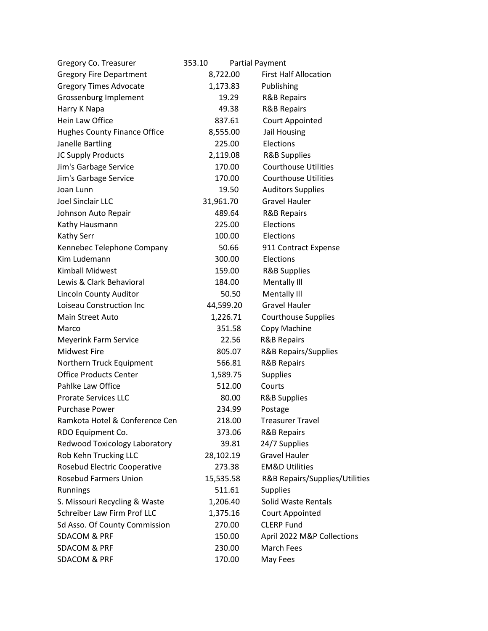| Gregory Co. Treasurer          | 353.10    | <b>Partial Payment</b>          |
|--------------------------------|-----------|---------------------------------|
| <b>Gregory Fire Department</b> | 8,722.00  | <b>First Half Allocation</b>    |
| <b>Gregory Times Advocate</b>  | 1,173.83  | Publishing                      |
| Grossenburg Implement          | 19.29     | <b>R&amp;B Repairs</b>          |
| Harry K Napa                   | 49.38     | <b>R&amp;B Repairs</b>          |
| Hein Law Office                | 837.61    | Court Appointed                 |
| Hughes County Finance Office   | 8,555.00  | Jail Housing                    |
| Janelle Bartling               | 225.00    | Elections                       |
| JC Supply Products             | 2,119.08  | <b>R&amp;B Supplies</b>         |
| Jim's Garbage Service          | 170.00    | <b>Courthouse Utilities</b>     |
| Jim's Garbage Service          | 170.00    | <b>Courthouse Utilities</b>     |
| Joan Lunn                      | 19.50     | <b>Auditors Supplies</b>        |
| <b>Joel Sinclair LLC</b>       | 31,961.70 | <b>Gravel Hauler</b>            |
| Johnson Auto Repair            | 489.64    | <b>R&amp;B Repairs</b>          |
| Kathy Hausmann                 | 225.00    | Elections                       |
| <b>Kathy Serr</b>              | 100.00    | Elections                       |
| Kennebec Telephone Company     | 50.66     | 911 Contract Expense            |
| Kim Ludemann                   | 300.00    | Elections                       |
| <b>Kimball Midwest</b>         | 159.00    | <b>R&amp;B Supplies</b>         |
| Lewis & Clark Behavioral       | 184.00    | Mentally III                    |
| Lincoln County Auditor         | 50.50     | Mentally III                    |
| Loiseau Construction Inc       | 44,599.20 | <b>Gravel Hauler</b>            |
| Main Street Auto               | 1,226.71  | <b>Courthouse Supplies</b>      |
| Marco                          | 351.58    | Copy Machine                    |
| <b>Meyerink Farm Service</b>   | 22.56     | <b>R&amp;B Repairs</b>          |
| <b>Midwest Fire</b>            | 805.07    | <b>R&amp;B Repairs/Supplies</b> |
| Northern Truck Equipment       | 566.81    | <b>R&amp;B Repairs</b>          |
| <b>Office Products Center</b>  | 1,589.75  | <b>Supplies</b>                 |
| Pahlke Law Office              | 512.00    | Courts                          |
| <b>Prorate Services LLC</b>    | 80.00     | <b>R&amp;B Supplies</b>         |
| <b>Purchase Power</b>          | 234.99    | Postage                         |
| Ramkota Hotel & Conference Cen | 218.00    | <b>Treasurer Travel</b>         |
| RDO Equipment Co.              | 373.06    | <b>R&amp;B Repairs</b>          |
| Redwood Toxicology Laboratory  | 39.81     | 24/7 Supplies                   |
| Rob Kehn Trucking LLC          | 28,102.19 | <b>Gravel Hauler</b>            |
| Rosebud Electric Cooperative   | 273.38    | <b>EM&amp;D Utilities</b>       |
| <b>Rosebud Farmers Union</b>   | 15,535.58 | R&B Repairs/Supplies/Utilities  |
| Runnings                       | 511.61    | <b>Supplies</b>                 |
| S. Missouri Recycling & Waste  | 1,206.40  | Solid Waste Rentals             |
| Schreiber Law Firm Prof LLC    | 1,375.16  | Court Appointed                 |
| Sd Asso. Of County Commission  | 270.00    | <b>CLERP Fund</b>               |
| <b>SDACOM &amp; PRF</b>        | 150.00    | April 2022 M&P Collections      |
| <b>SDACOM &amp; PRF</b>        | 230.00    | March Fees                      |
| <b>SDACOM &amp; PRF</b>        | 170.00    | May Fees                        |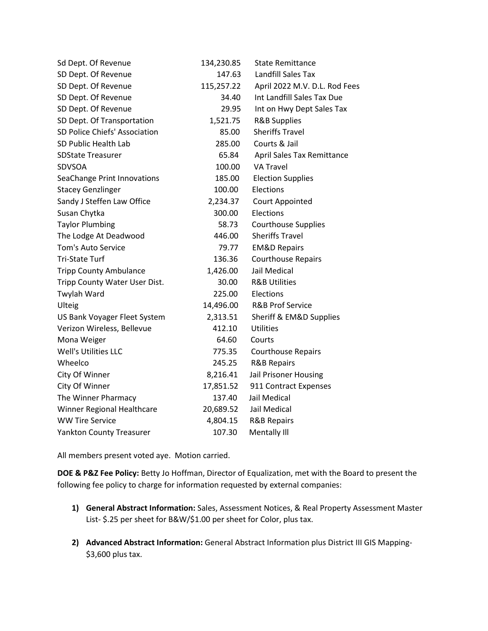| Sd Dept. Of Revenue             | 134,230.85 | <b>State Remittance</b>       |
|---------------------------------|------------|-------------------------------|
| SD Dept. Of Revenue             | 147.63     | <b>Landfill Sales Tax</b>     |
| SD Dept. Of Revenue             | 115,257.22 | April 2022 M.V. D.L. Rod Fees |
| SD Dept. Of Revenue             | 34.40      | Int Landfill Sales Tax Due    |
| SD Dept. Of Revenue             | 29.95      | Int on Hwy Dept Sales Tax     |
| SD Dept. Of Transportation      | 1,521.75   | <b>R&amp;B Supplies</b>       |
| SD Police Chiefs' Association   | 85.00      | <b>Sheriffs Travel</b>        |
| SD Public Health Lab            | 285.00     | Courts & Jail                 |
| <b>SDState Treasurer</b>        | 65.84      | April Sales Tax Remittance    |
| <b>SDVSOA</b>                   | 100.00     | <b>VA Travel</b>              |
| SeaChange Print Innovations     | 185.00     | <b>Election Supplies</b>      |
| <b>Stacey Genzlinger</b>        | 100.00     | Elections                     |
| Sandy J Steffen Law Office      | 2,234.37   | Court Appointed               |
| Susan Chytka                    | 300.00     | Elections                     |
| <b>Taylor Plumbing</b>          | 58.73      | <b>Courthouse Supplies</b>    |
| The Lodge At Deadwood           | 446.00     | <b>Sheriffs Travel</b>        |
| <b>Tom's Auto Service</b>       | 79.77      | <b>EM&amp;D Repairs</b>       |
| <b>Tri-State Turf</b>           | 136.36     | <b>Courthouse Repairs</b>     |
| <b>Tripp County Ambulance</b>   | 1,426.00   | Jail Medical                  |
| Tripp County Water User Dist.   | 30.00      | <b>R&amp;B Utilities</b>      |
| Twylah Ward                     | 225.00     | Elections                     |
| Ulteig                          | 14,496.00  | <b>R&amp;B Prof Service</b>   |
| US Bank Voyager Fleet System    | 2,313.51   | Sheriff & EM&D Supplies       |
| Verizon Wireless, Bellevue      | 412.10     | <b>Utilities</b>              |
| Mona Weiger                     | 64.60      | Courts                        |
| Well's Utilities LLC            | 775.35     | <b>Courthouse Repairs</b>     |
| Wheelco                         | 245.25     | <b>R&amp;B Repairs</b>        |
| City Of Winner                  | 8,216.41   | Jail Prisoner Housing         |
| City Of Winner                  | 17,851.52  | 911 Contract Expenses         |
| The Winner Pharmacy             | 137.40     | Jail Medical                  |
| Winner Regional Healthcare      | 20,689.52  | Jail Medical                  |
| <b>WW Tire Service</b>          | 4,804.15   | <b>R&amp;B Repairs</b>        |
| <b>Yankton County Treasurer</b> | 107.30     | Mentally III                  |

All members present voted aye. Motion carried.

**DOE & P&Z Fee Policy:** Betty Jo Hoffman, Director of Equalization, met with the Board to present the following fee policy to charge for information requested by external companies:

- **1) General Abstract Information:** Sales, Assessment Notices, & Real Property Assessment Master List- \$.25 per sheet for B&W/\$1.00 per sheet for Color, plus tax.
- **2) Advanced Abstract Information:** General Abstract Information plus District III GIS Mapping- \$3,600 plus tax.